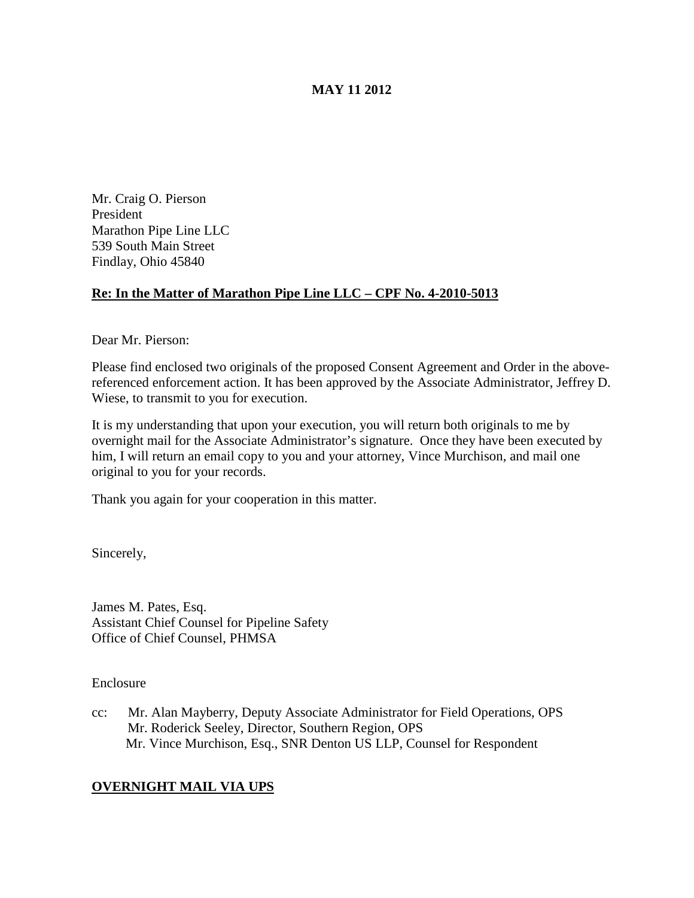# **MAY 11 2012**

Mr. Craig O. Pierson President Marathon Pipe Line LLC 539 South Main Street Findlay, Ohio 45840

## **Re: In the Matter of Marathon Pipe Line LLC – CPF No. 4-2010-5013**

Dear Mr. Pierson:

Please find enclosed two originals of the proposed Consent Agreement and Order in the abovereferenced enforcement action. It has been approved by the Associate Administrator, Jeffrey D. Wiese, to transmit to you for execution.

It is my understanding that upon your execution, you will return both originals to me by overnight mail for the Associate Administrator's signature. Once they have been executed by him, I will return an email copy to you and your attorney, Vince Murchison, and mail one original to you for your records.

Thank you again for your cooperation in this matter.

Sincerely,

James M. Pates, Esq. Assistant Chief Counsel for Pipeline Safety Office of Chief Counsel, PHMSA

Enclosure

cc: Mr. Alan Mayberry, Deputy Associate Administrator for Field Operations, OPS Mr. Roderick Seeley, Director, Southern Region, OPS Mr. Vince Murchison, Esq., SNR Denton US LLP, Counsel for Respondent

# **OVERNIGHT MAIL VIA UPS**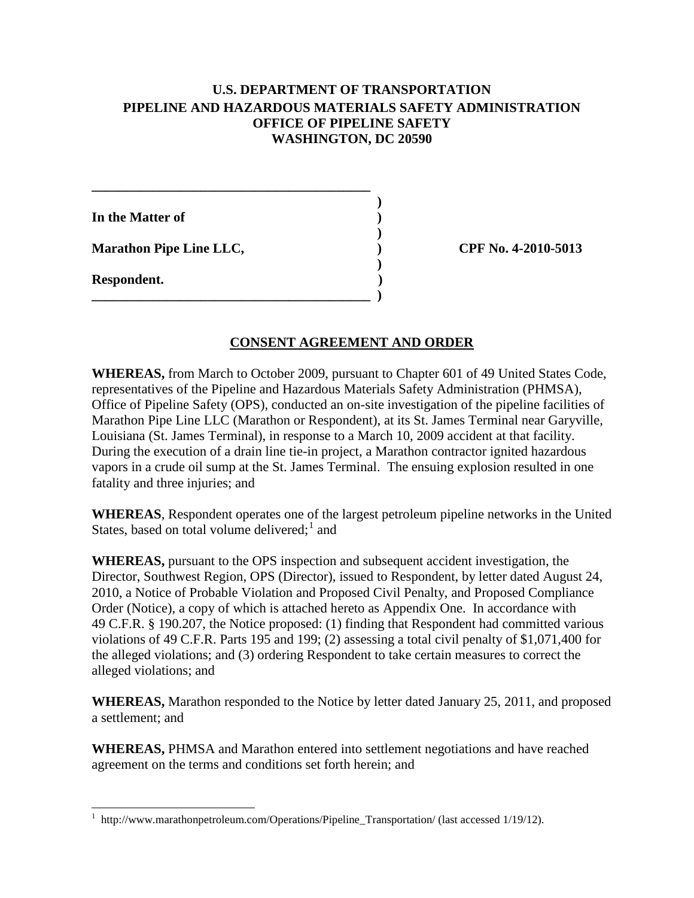# **U.S. DEPARTMENT OF TRANSPORTATION PIPELINE AND HAZARDOUS MATERIALS SAFETY ADMINISTRATION OFFICE OF PIPELINE SAFETY WASHINGTON, DC 20590**

| In the Matter of               |  |
|--------------------------------|--|
| <b>Marathon Pipe Line LLC,</b> |  |
| Respondent.                    |  |

**\_\_\_\_\_\_\_\_\_\_\_\_\_\_\_\_\_\_\_\_\_\_\_\_\_\_\_\_\_\_\_\_\_\_\_\_\_\_\_\_\_**

**Marathon Pipe Line LLC, ) CPF No. 4-2010-5013** 

### **CONSENT AGREEMENT AND ORDER**

**WHEREAS,** from March to October 2009, pursuant to Chapter 601 of 49 United States Code, representatives of the Pipeline and Hazardous Materials Safety Administration (PHMSA), Office of Pipeline Safety (OPS), conducted an on-site investigation of the pipeline facilities of Marathon Pipe Line LLC (Marathon or Respondent), at its St. James Terminal near Garyville, Louisiana (St. James Terminal), in response to a March 10, 2009 accident at that facility. During the execution of a drain line tie-in project, a Marathon contractor ignited hazardous vapors in a crude oil sump at the St. James Terminal. The ensuing explosion resulted in one fatality and three injuries; and

**WHEREAS**, Respondent operates one of the largest petroleum pipeline networks in the United States, based on total volume delivered; $<sup>1</sup>$  $<sup>1</sup>$  $<sup>1</sup>$  and</sup>

**WHEREAS,** pursuant to the OPS inspection and subsequent accident investigation, the Director, Southwest Region, OPS (Director), issued to Respondent, by letter dated August 24, 2010, a Notice of Probable Violation and Proposed Civil Penalty, and Proposed Compliance Order (Notice), a copy of which is attached hereto as Appendix One. In accordance with 49 C.F.R. § 190.207, the Notice proposed: (1) finding that Respondent had committed various violations of 49 C.F.R. Parts 195 and 199; (2) assessing a total civil penalty of \$1,071,400 for the alleged violations; and (3) ordering Respondent to take certain measures to correct the alleged violations; and

**WHEREAS,** Marathon responded to the Notice by letter dated January 25, 2011, and proposed a settlement; and

**WHEREAS,** PHMSA and Marathon entered into settlement negotiations and have reached agreement on the terms and conditions set forth herein; and

<span id="page-1-0"></span> <sup>1</sup> http://www.marathonpetroleum.com/Operations/Pipeline\_Transportation/ (last accessed 1/19/12).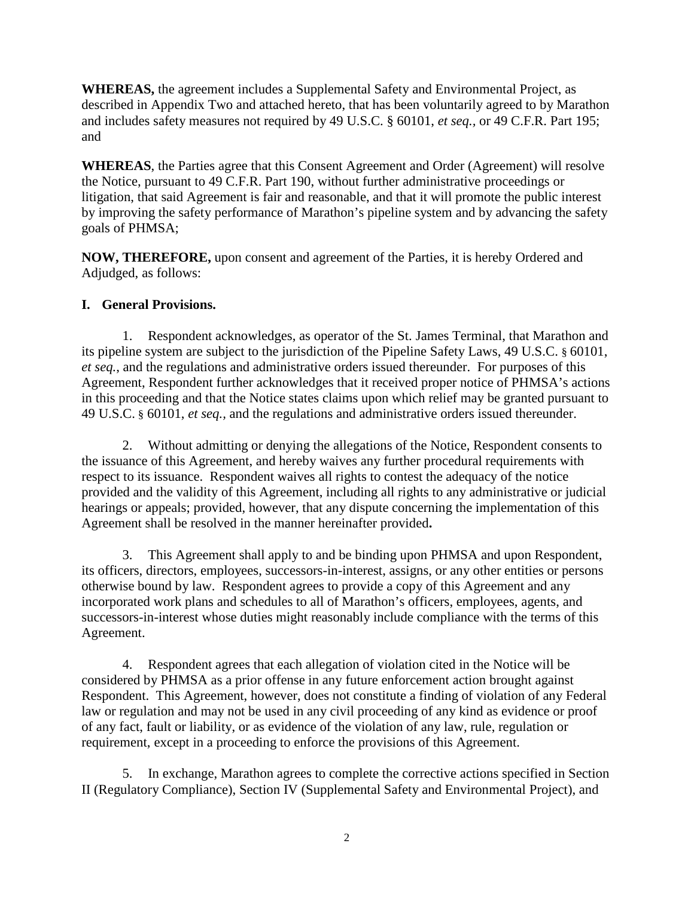**WHEREAS,** the agreement includes a Supplemental Safety and Environmental Project, as described in Appendix Two and attached hereto, that has been voluntarily agreed to by Marathon and includes safety measures not required by 49 U.S.C. § 60101, *et seq.,* or 49 C.F.R. Part 195; and

**WHEREAS**, the Parties agree that this Consent Agreement and Order (Agreement) will resolve the Notice, pursuant to 49 C.F.R. Part 190, without further administrative proceedings or litigation, that said Agreement is fair and reasonable, and that it will promote the public interest by improving the safety performance of Marathon's pipeline system and by advancing the safety goals of PHMSA;

**NOW, THEREFORE,** upon consent and agreement of the Parties, it is hereby Ordered and Adjudged, as follows:

# **I. General Provisions.**

1. Respondent acknowledges, as operator of the St. James Terminal, that Marathon and its pipeline system are subject to the jurisdiction of the Pipeline Safety Laws, 49 U.S.C. § 60101, *et seq.*, and the regulations and administrative orders issued thereunder. For purposes of this Agreement, Respondent further acknowledges that it received proper notice of PHMSA's actions in this proceeding and that the Notice states claims upon which relief may be granted pursuant to 49 U.S.C. § 60101, *et seq.,* and the regulations and administrative orders issued thereunder.

2. Without admitting or denying the allegations of the Notice, Respondent consents to the issuance of this Agreement, and hereby waives any further procedural requirements with respect to its issuance. Respondent waives all rights to contest the adequacy of the notice provided and the validity of this Agreement, including all rights to any administrative or judicial hearings or appeals; provided, however, that any dispute concerning the implementation of this Agreement shall be resolved in the manner hereinafter provided**.**

3. This Agreement shall apply to and be binding upon PHMSA and upon Respondent, its officers, directors, employees, successors-in-interest, assigns, or any other entities or persons otherwise bound by law. Respondent agrees to provide a copy of this Agreement and any incorporated work plans and schedules to all of Marathon's officers, employees, agents, and successors-in-interest whose duties might reasonably include compliance with the terms of this Agreement.

4. Respondent agrees that each allegation of violation cited in the Notice will be considered by PHMSA as a prior offense in any future enforcement action brought against Respondent.This Agreement, however, does not constitute a finding of violation of any Federal law or regulation and may not be used in any civil proceeding of any kind as evidence or proof of any fact, fault or liability, or as evidence of the violation of any law, rule, regulation or requirement, except in a proceeding to enforce the provisions of this Agreement.

5. In exchange, Marathon agrees to complete the corrective actions specified in Section II (Regulatory Compliance), Section IV (Supplemental Safety and Environmental Project), and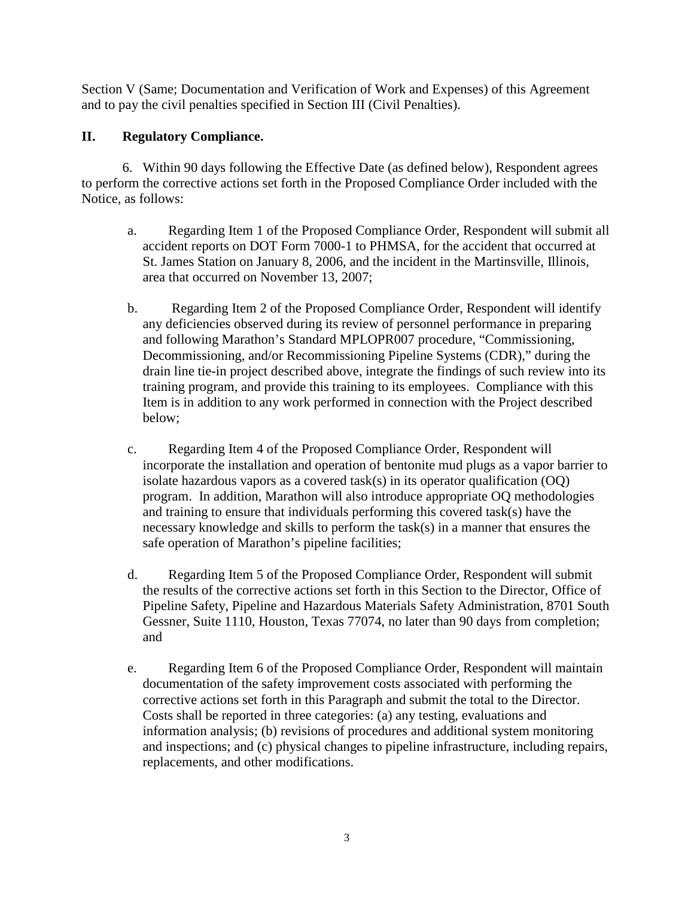Section V (Same; Documentation and Verification of Work and Expenses) of this Agreement and to pay the civil penalties specified in Section III (Civil Penalties).

# **II. Regulatory Compliance.**

6. Within 90 days following the Effective Date (as defined below), Respondent agrees to perform the corrective actions set forth in the Proposed Compliance Order included with the Notice, as follows:

- a. Regarding Item 1 of the Proposed Compliance Order, Respondent will submit all accident reports on DOT Form 7000-1 to PHMSA, for the accident that occurred at St. James Station on January 8, 2006, and the incident in the Martinsville, Illinois, area that occurred on November 13, 2007;
- b. Regarding Item 2 of the Proposed Compliance Order, Respondent will identify any deficiencies observed during its review of personnel performance in preparing and following Marathon's Standard MPLOPR007 procedure, "Commissioning, Decommissioning, and/or Recommissioning Pipeline Systems (CDR)," during the drain line tie-in project described above, integrate the findings of such review into its training program, and provide this training to its employees. Compliance with this Item is in addition to any work performed in connection with the Project described below;
- c. Regarding Item 4 of the Proposed Compliance Order, Respondent will incorporate the installation and operation of bentonite mud plugs as a vapor barrier to isolate hazardous vapors as a covered task(s) in its operator qualification (OQ) program. In addition, Marathon will also introduce appropriate OQ methodologies and training to ensure that individuals performing this covered task(s) have the necessary knowledge and skills to perform the task(s) in a manner that ensures the safe operation of Marathon's pipeline facilities;
- d. Regarding Item 5 of the Proposed Compliance Order, Respondent will submit the results of the corrective actions set forth in this Section to the Director, Office of Pipeline Safety, Pipeline and Hazardous Materials Safety Administration, 8701 South Gessner, Suite 1110, Houston, Texas 77074, no later than 90 days from completion; and
- e. Regarding Item 6 of the Proposed Compliance Order, Respondent will maintain documentation of the safety improvement costs associated with performing the corrective actions set forth in this Paragraph and submit the total to the Director. Costs shall be reported in three categories: (a) any testing, evaluations and information analysis; (b) revisions of procedures and additional system monitoring and inspections; and (c) physical changes to pipeline infrastructure, including repairs, replacements, and other modifications.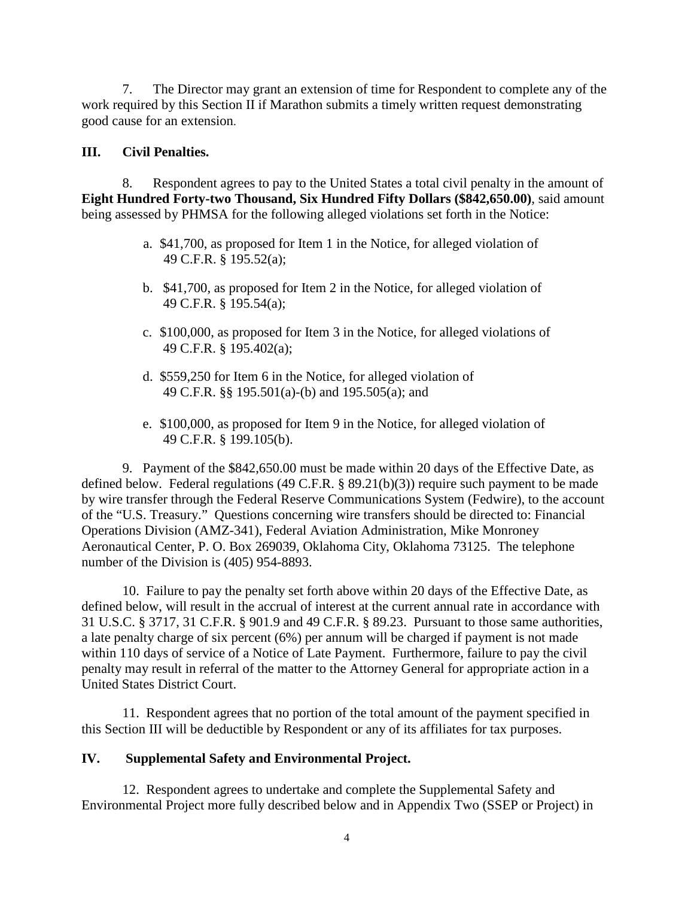7. The Director may grant an extension of time for Respondent to complete any of the work required by this Section II if Marathon submits a timely written request demonstrating good cause for an extension.

#### **III. Civil Penalties.**

8. Respondent agrees to pay to the United States a total civil penalty in the amount of **Eight Hundred Forty-two Thousand, Six Hundred Fifty Dollars (\$842,650.00)**, said amount being assessed by PHMSA for the following alleged violations set forth in the Notice:

- a. \$41,700, as proposed for Item 1 in the Notice, for alleged violation of 49 C.F.R. § 195.52(a);
- b. \$41,700, as proposed for Item 2 in the Notice, for alleged violation of 49 C.F.R. § 195.54(a);
- c. \$100,000, as proposed for Item 3 in the Notice, for alleged violations of 49 C.F.R. § 195.402(a);
- d. \$559,250 for Item 6 in the Notice, for alleged violation of 49 C.F.R. §§ 195.501(a)-(b) and 195.505(a); and
- e. \$100,000, as proposed for Item 9 in the Notice, for alleged violation of 49 C.F.R. § 199.105(b).

 9. Payment of the \$842,650.00 must be made within 20 days of the Effective Date, as defined below. Federal regulations (49 C.F.R. § 89.21(b)(3)) require such payment to be made by wire transfer through the Federal Reserve Communications System (Fedwire), to the account of the "U.S. Treasury." Questions concerning wire transfers should be directed to: Financial Operations Division (AMZ-341), Federal Aviation Administration, Mike Monroney Aeronautical Center, P. O. Box 269039, Oklahoma City, Oklahoma 73125. The telephone number of the Division is (405) 954-8893.

10. Failure to pay the penalty set forth above within 20 days of the Effective Date, as defined below, will result in the accrual of interest at the current annual rate in accordance with 31 U.S.C. § 3717, 31 C.F.R. § 901.9 and 49 C.F.R. § 89.23. Pursuant to those same authorities, a late penalty charge of six percent (6%) per annum will be charged if payment is not made within 110 days of service of a Notice of Late Payment. Furthermore, failure to pay the civil penalty may result in referral of the matter to the Attorney General for appropriate action in a United States District Court.

11. Respondent agrees that no portion of the total amount of the payment specified in this Section III will be deductible by Respondent or any of its affiliates for tax purposes.

#### **IV. Supplemental Safety and Environmental Project.**

12. Respondent agrees to undertake and complete the Supplemental Safety and Environmental Project more fully described below and in Appendix Two (SSEP or Project) in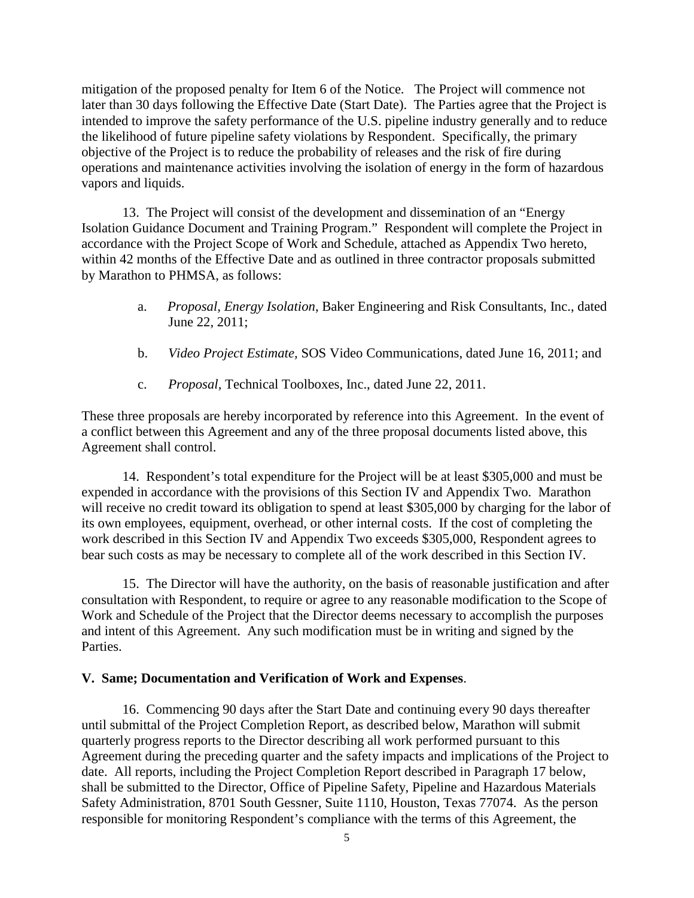mitigation of the proposed penalty for Item 6 of the Notice. The Project will commence not later than 30 days following the Effective Date (Start Date). The Parties agree that the Project is intended to improve the safety performance of the U.S. pipeline industry generally and to reduce the likelihood of future pipeline safety violations by Respondent. Specifically, the primary objective of the Project is to reduce the probability of releases and the risk of fire during operations and maintenance activities involving the isolation of energy in the form of hazardous vapors and liquids.

13. The Project will consist of the development and dissemination of an "Energy Isolation Guidance Document and Training Program." Respondent will complete the Project in accordance with the Project Scope of Work and Schedule, attached as Appendix Two hereto, within 42 months of the Effective Date and as outlined in three contractor proposals submitted by Marathon to PHMSA, as follows:

- a. *Proposal, Energy Isolation*, Baker Engineering and Risk Consultants, Inc., dated June 22, 2011;
- b. *Video Project Estimate,* SOS Video Communications, dated June 16, 2011; and
- c. *Proposal,* Technical Toolboxes, Inc., dated June 22, 2011.

These three proposals are hereby incorporated by reference into this Agreement. In the event of a conflict between this Agreement and any of the three proposal documents listed above, this Agreement shall control.

14. Respondent's total expenditure for the Project will be at least \$305,000 and must be expended in accordance with the provisions of this Section IV and Appendix Two. Marathon will receive no credit toward its obligation to spend at least \$305,000 by charging for the labor of its own employees, equipment, overhead, or other internal costs. If the cost of completing the work described in this Section IV and Appendix Two exceeds \$305,000, Respondent agrees to bear such costs as may be necessary to complete all of the work described in this Section IV.

15. The Director will have the authority, on the basis of reasonable justification and after consultation with Respondent, to require or agree to any reasonable modification to the Scope of Work and Schedule of the Project that the Director deems necessary to accomplish the purposes and intent of this Agreement. Any such modification must be in writing and signed by the Parties.

#### **V. Same; Documentation and Verification of Work and Expenses**.

16. Commencing 90 days after the Start Date and continuing every 90 days thereafter until submittal of the Project Completion Report, as described below, Marathon will submit quarterly progress reports to the Director describing all work performed pursuant to this Agreement during the preceding quarter and the safety impacts and implications of the Project to date. All reports, including the Project Completion Report described in Paragraph 17 below, shall be submitted to the Director, Office of Pipeline Safety, Pipeline and Hazardous Materials Safety Administration, 8701 South Gessner, Suite 1110, Houston, Texas 77074. As the person responsible for monitoring Respondent's compliance with the terms of this Agreement, the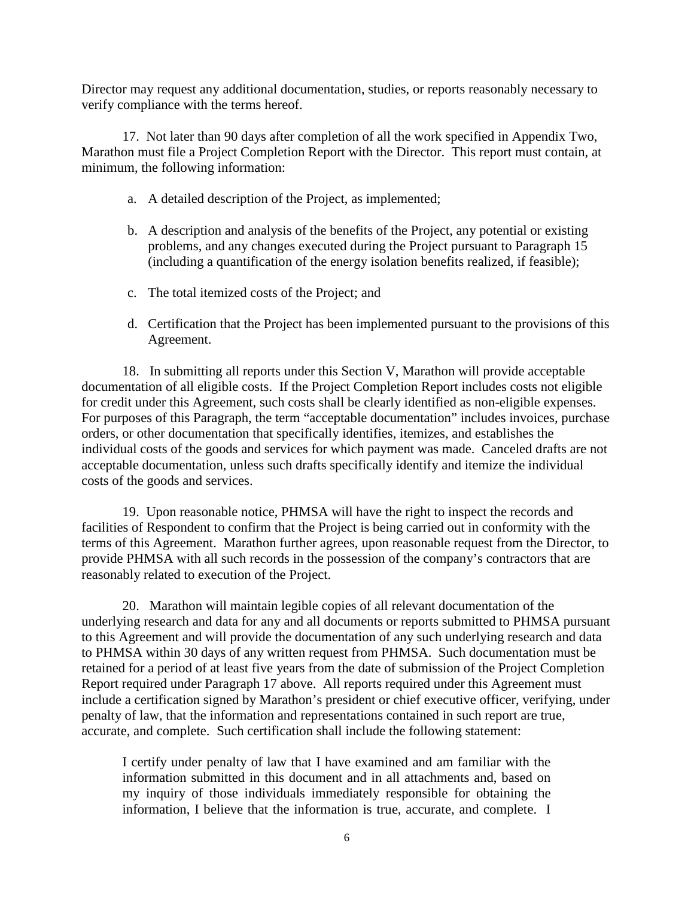Director may request any additional documentation, studies, or reports reasonably necessary to verify compliance with the terms hereof.

17. Not later than 90 days after completion of all the work specified in Appendix Two, Marathon must file a Project Completion Report with the Director. This report must contain, at minimum, the following information:

- a. A detailed description of the Project, as implemented;
- b. A description and analysis of the benefits of the Project, any potential or existing problems, and any changes executed during the Project pursuant to Paragraph 15 (including a quantification of the energy isolation benefits realized, if feasible);
- c. The total itemized costs of the Project; and
- d. Certification that the Project has been implemented pursuant to the provisions of this Agreement.

18. In submitting all reports under this Section V, Marathon will provide acceptable documentation of all eligible costs. If the Project Completion Report includes costs not eligible for credit under this Agreement, such costs shall be clearly identified as non-eligible expenses. For purposes of this Paragraph, the term "acceptable documentation" includes invoices, purchase orders, or other documentation that specifically identifies, itemizes, and establishes the individual costs of the goods and services for which payment was made. Canceled drafts are not acceptable documentation, unless such drafts specifically identify and itemize the individual costs of the goods and services.

19. Upon reasonable notice, PHMSA will have the right to inspect the records and facilities of Respondent to confirm that the Project is being carried out in conformity with the terms of this Agreement. Marathon further agrees, upon reasonable request from the Director, to provide PHMSA with all such records in the possession of the company's contractors that are reasonably related to execution of the Project.

20. Marathon will maintain legible copies of all relevant documentation of the underlying research and data for any and all documents or reports submitted to PHMSA pursuant to this Agreement and will provide the documentation of any such underlying research and data to PHMSA within 30 days of any written request from PHMSA. Such documentation must be retained for a period of at least five years from the date of submission of the Project Completion Report required under Paragraph 17 above. All reports required under this Agreement must include a certification signed by Marathon's president or chief executive officer, verifying, under penalty of law, that the information and representations contained in such report are true, accurate, and complete. Such certification shall include the following statement:

I certify under penalty of law that I have examined and am familiar with the information submitted in this document and in all attachments and, based on my inquiry of those individuals immediately responsible for obtaining the information, I believe that the information is true, accurate, and complete. I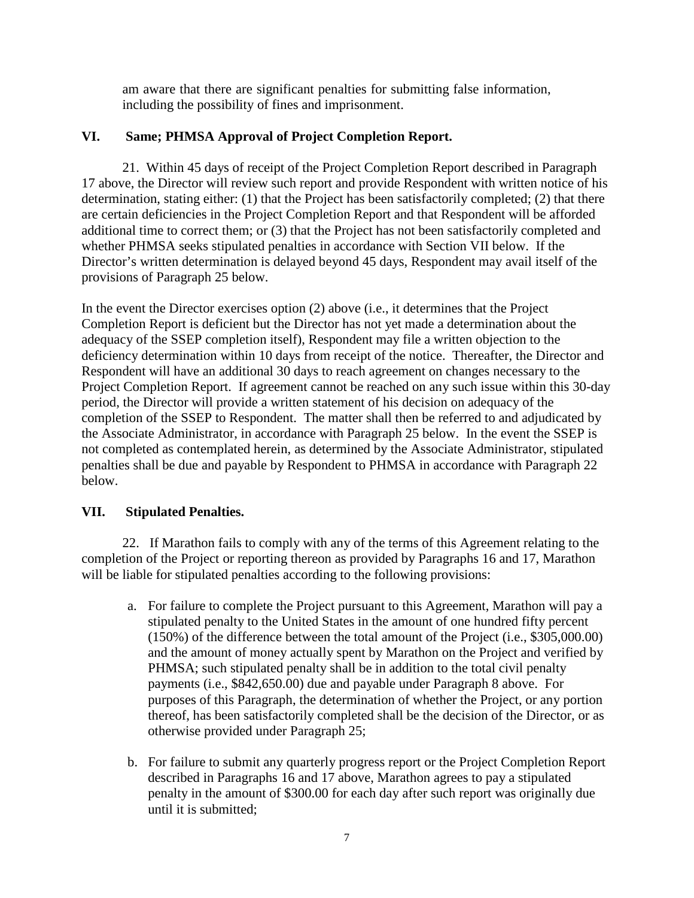am aware that there are significant penalties for submitting false information, including the possibility of fines and imprisonment.

# **VI. Same; PHMSA Approval of Project Completion Report.**

21. Within 45 days of receipt of the Project Completion Report described in Paragraph 17 above, the Director will review such report and provide Respondent with written notice of his determination, stating either: (1) that the Project has been satisfactorily completed; (2) that there are certain deficiencies in the Project Completion Report and that Respondent will be afforded additional time to correct them; or (3) that the Project has not been satisfactorily completed and whether PHMSA seeks stipulated penalties in accordance with Section VII below. If the Director's written determination is delayed beyond 45 days, Respondent may avail itself of the provisions of Paragraph 25 below.

In the event the Director exercises option (2) above (i.e., it determines that the Project Completion Report is deficient but the Director has not yet made a determination about the adequacy of the SSEP completion itself), Respondent may file a written objection to the deficiency determination within 10 days from receipt of the notice. Thereafter, the Director and Respondent will have an additional 30 days to reach agreement on changes necessary to the Project Completion Report. If agreement cannot be reached on any such issue within this 30-day period, the Director will provide a written statement of his decision on adequacy of the completion of the SSEP to Respondent. The matter shall then be referred to and adjudicated by the Associate Administrator, in accordance with Paragraph 25 below. In the event the SSEP is not completed as contemplated herein, as determined by the Associate Administrator, stipulated penalties shall be due and payable by Respondent to PHMSA in accordance with Paragraph 22 below.

# **VII. Stipulated Penalties.**

22. If Marathon fails to comply with any of the terms of this Agreement relating to the completion of the Project or reporting thereon as provided by Paragraphs 16 and 17, Marathon will be liable for stipulated penalties according to the following provisions:

- a. For failure to complete the Project pursuant to this Agreement, Marathon will pay a stipulated penalty to the United States in the amount of one hundred fifty percent (150%) of the difference between the total amount of the Project (i.e., \$305,000.00) and the amount of money actually spent by Marathon on the Project and verified by PHMSA; such stipulated penalty shall be in addition to the total civil penalty payments (i.e., \$842,650.00) due and payable under Paragraph 8 above. For purposes of this Paragraph, the determination of whether the Project, or any portion thereof, has been satisfactorily completed shall be the decision of the Director, or as otherwise provided under Paragraph 25;
- b. For failure to submit any quarterly progress report or the Project Completion Report described in Paragraphs 16 and 17 above, Marathon agrees to pay a stipulated penalty in the amount of \$300.00 for each day after such report was originally due until it is submitted;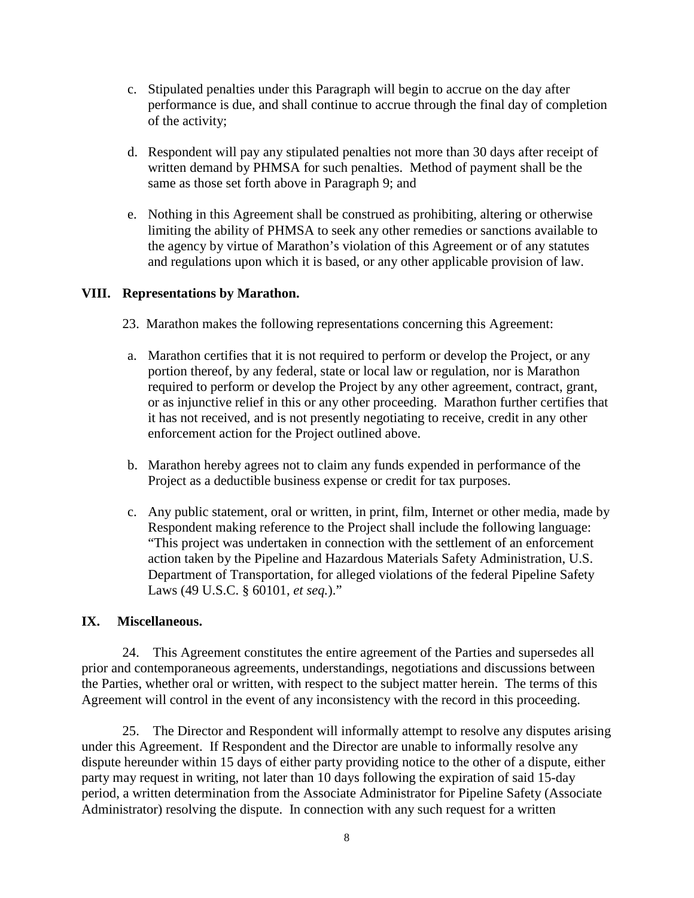- c. Stipulated penalties under this Paragraph will begin to accrue on the day after performance is due, and shall continue to accrue through the final day of completion of the activity;
- d. Respondent will pay any stipulated penalties not more than 30 days after receipt of written demand by PHMSA for such penalties. Method of payment shall be the same as those set forth above in Paragraph 9; and
- e. Nothing in this Agreement shall be construed as prohibiting, altering or otherwise limiting the ability of PHMSA to seek any other remedies or sanctions available to the agency by virtue of Marathon's violation of this Agreement or of any statutes and regulations upon which it is based, or any other applicable provision of law.

## **VIII. Representations by Marathon.**

- 23. Marathon makes the following representations concerning this Agreement:
- a. Marathon certifies that it is not required to perform or develop the Project, or any portion thereof, by any federal, state or local law or regulation, nor is Marathon required to perform or develop the Project by any other agreement, contract, grant, or as injunctive relief in this or any other proceeding. Marathon further certifies that it has not received, and is not presently negotiating to receive, credit in any other enforcement action for the Project outlined above.
- b. Marathon hereby agrees not to claim any funds expended in performance of the Project as a deductible business expense or credit for tax purposes.
- c. Any public statement, oral or written, in print, film, Internet or other media, made by Respondent making reference to the Project shall include the following language: "This project was undertaken in connection with the settlement of an enforcement action taken by the Pipeline and Hazardous Materials Safety Administration, U.S. Department of Transportation, for alleged violations of the federal Pipeline Safety Laws (49 U.S.C. § 60101, *et seq.*)."

### **IX. Miscellaneous.**

 24. This Agreement constitutes the entire agreement of the Parties and supersedes all prior and contemporaneous agreements, understandings, negotiations and discussions between the Parties, whether oral or written, with respect to the subject matter herein. The terms of this Agreement will control in the event of any inconsistency with the record in this proceeding.

 25. The Director and Respondent will informally attempt to resolve any disputes arising under this Agreement. If Respondent and the Director are unable to informally resolve any dispute hereunder within 15 days of either party providing notice to the other of a dispute, either party may request in writing, not later than 10 days following the expiration of said 15-day period, a written determination from the Associate Administrator for Pipeline Safety (Associate Administrator) resolving the dispute. In connection with any such request for a written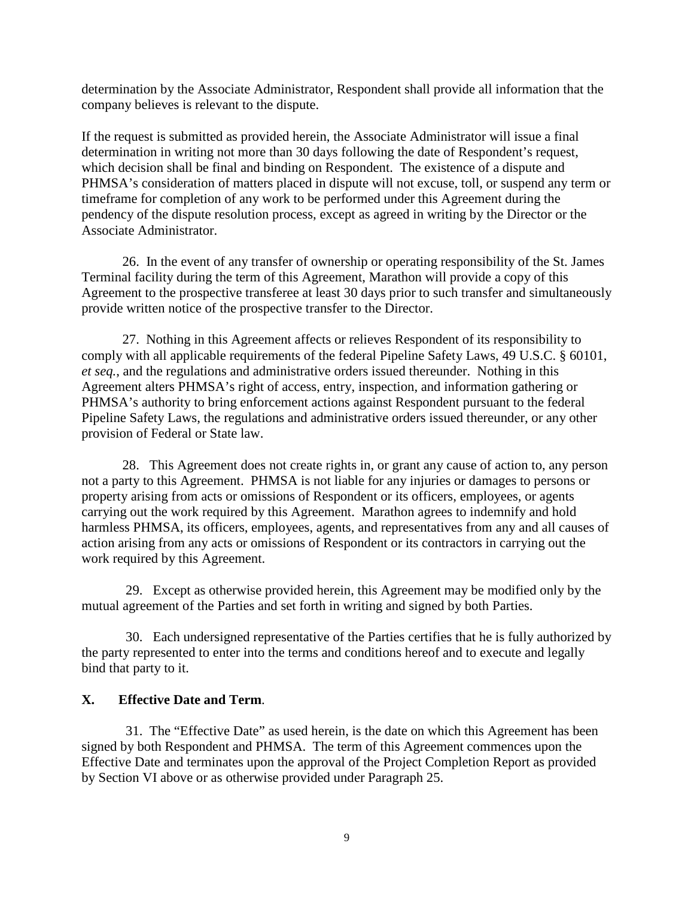determination by the Associate Administrator, Respondent shall provide all information that the company believes is relevant to the dispute.

If the request is submitted as provided herein, the Associate Administrator will issue a final determination in writing not more than 30 days following the date of Respondent's request, which decision shall be final and binding on Respondent. The existence of a dispute and PHMSA's consideration of matters placed in dispute will not excuse, toll, or suspend any term or timeframe for completion of any work to be performed under this Agreement during the pendency of the dispute resolution process, except as agreed in writing by the Director or the Associate Administrator.

26.In the event of any transfer of ownership or operating responsibility of the St. James Terminal facility during the term of this Agreement, Marathon will provide a copy of this Agreement to the prospective transferee at least 30 days prior to such transfer and simultaneously provide written notice of the prospective transfer to the Director.

 27. Nothing in this Agreement affects or relieves Respondent of its responsibility to comply with all applicable requirements of the federal Pipeline Safety Laws, 49 U.S.C. § 60101, *et seq.*, and the regulations and administrative orders issued thereunder. Nothing in this Agreement alters PHMSA's right of access, entry, inspection, and information gathering or PHMSA's authority to bring enforcement actions against Respondent pursuant to the federal Pipeline Safety Laws, the regulations and administrative orders issued thereunder, or any other provision of Federal or State law.

28. This Agreement does not create rights in, or grant any cause of action to, any person not a party to this Agreement. PHMSA is not liable for any injuries or damages to persons or property arising from acts or omissions of Respondent or its officers, employees, or agents carrying out the work required by this Agreement. Marathon agrees to indemnify and hold harmless PHMSA, its officers, employees, agents, and representatives from any and all causes of action arising from any acts or omissions of Respondent or its contractors in carrying out the work required by this Agreement.

29. Except as otherwise provided herein, this Agreement may be modified only by the mutual agreement of the Parties and set forth in writing and signed by both Parties.

 30. Each undersigned representative of the Parties certifies that he is fully authorized by the party represented to enter into the terms and conditions hereof and to execute and legally bind that party to it.

### **X. Effective Date and Term**.

31. The "Effective Date" as used herein, is the date on which this Agreement has been signed by both Respondent and PHMSA. The term of this Agreement commences upon the Effective Date and terminates upon the approval of the Project Completion Report as provided by Section VI above or as otherwise provided under Paragraph 25.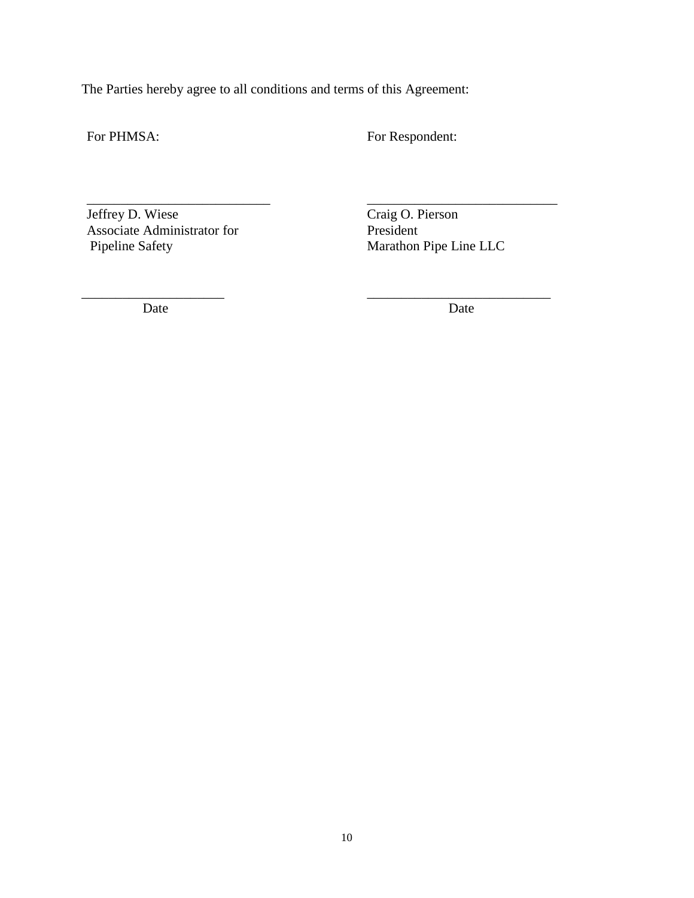The Parties hereby agree to all conditions and terms of this Agreement:

\_\_\_\_\_\_\_\_\_\_\_\_\_\_\_\_\_\_\_\_\_ \_\_\_\_\_\_\_\_\_\_\_\_\_\_\_\_\_\_\_\_\_\_\_\_\_\_\_

For PHMSA: For Respondent:

Jeffrey D. Wiese Craig O. Pierson<br>Associate Administrator for President Associate Administrator for<br>Pipeline Safety

\_\_\_\_\_\_\_\_\_\_\_\_\_\_\_\_\_\_\_\_\_\_\_\_\_\_\_ \_\_\_\_\_\_\_\_\_\_\_\_\_\_\_\_\_\_\_\_\_\_\_\_\_\_\_\_ Marathon Pipe Line LLC

Date Date Date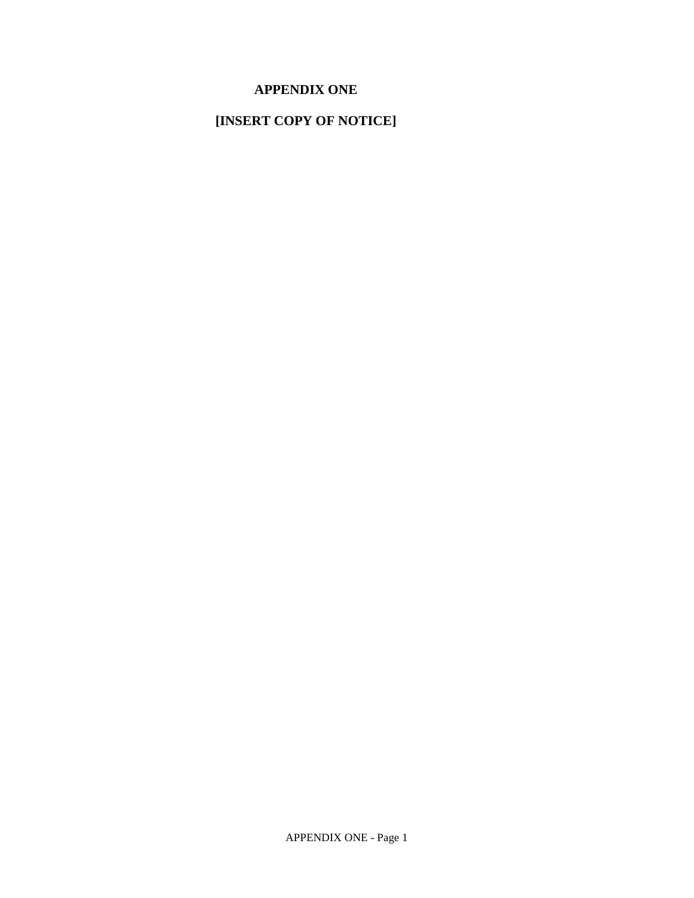# **APPENDIX ONE**

# **[INSERT COPY OF NOTICE]**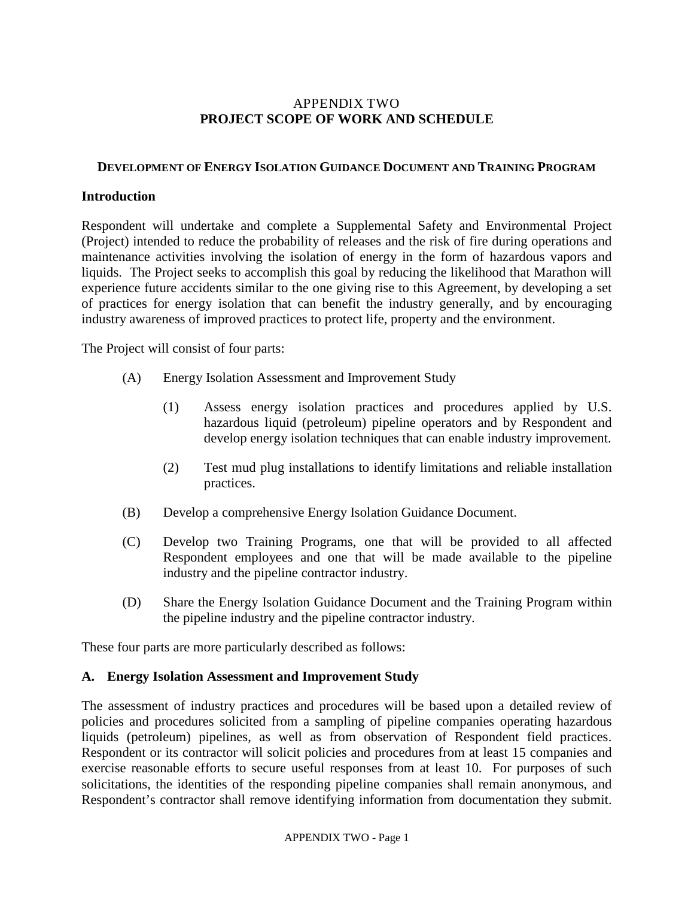# APPENDIX TWO **PROJECT SCOPE OF WORK AND SCHEDULE**

#### **DEVELOPMENT OF ENERGY ISOLATION GUIDANCE DOCUMENT AND TRAINING PROGRAM**

#### **Introduction**

Respondent will undertake and complete a Supplemental Safety and Environmental Project (Project) intended to reduce the probability of releases and the risk of fire during operations and maintenance activities involving the isolation of energy in the form of hazardous vapors and liquids. The Project seeks to accomplish this goal by reducing the likelihood that Marathon will experience future accidents similar to the one giving rise to this Agreement, by developing a set of practices for energy isolation that can benefit the industry generally, and by encouraging industry awareness of improved practices to protect life, property and the environment.

The Project will consist of four parts:

- (A) Energy Isolation Assessment and Improvement Study
	- (1) Assess energy isolation practices and procedures applied by U.S. hazardous liquid (petroleum) pipeline operators and by Respondent and develop energy isolation techniques that can enable industry improvement.
	- (2) Test mud plug installations to identify limitations and reliable installation practices.
- (B) Develop a comprehensive Energy Isolation Guidance Document.
- (C) Develop two Training Programs, one that will be provided to all affected Respondent employees and one that will be made available to the pipeline industry and the pipeline contractor industry.
- (D) Share the Energy Isolation Guidance Document and the Training Program within the pipeline industry and the pipeline contractor industry.

These four parts are more particularly described as follows:

### **A. Energy Isolation Assessment and Improvement Study**

The assessment of industry practices and procedures will be based upon a detailed review of policies and procedures solicited from a sampling of pipeline companies operating hazardous liquids (petroleum) pipelines, as well as from observation of Respondent field practices. Respondent or its contractor will solicit policies and procedures from at least 15 companies and exercise reasonable efforts to secure useful responses from at least 10. For purposes of such solicitations, the identities of the responding pipeline companies shall remain anonymous, and Respondent's contractor shall remove identifying information from documentation they submit.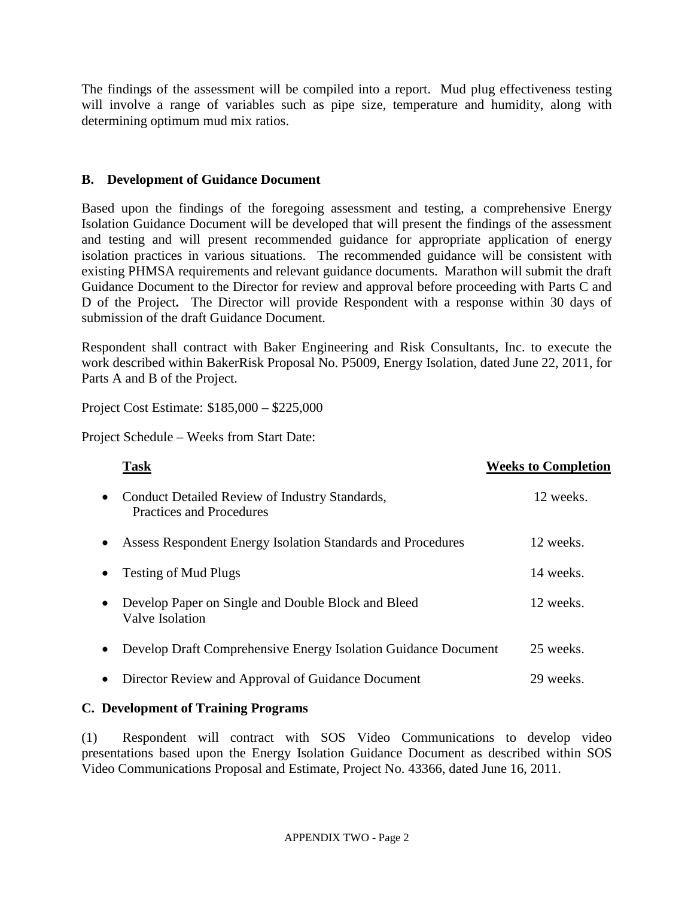The findings of the assessment will be compiled into a report. Mud plug effectiveness testing will involve a range of variables such as pipe size, temperature and humidity, along with determining optimum mud mix ratios.

# **B. Development of Guidance Document**

Based upon the findings of the foregoing assessment and testing, a comprehensive Energy Isolation Guidance Document will be developed that will present the findings of the assessment and testing and will present recommended guidance for appropriate application of energy isolation practices in various situations. The recommended guidance will be consistent with existing PHMSA requirements and relevant guidance documents. Marathon will submit the draft Guidance Document to the Director for review and approval before proceeding with Parts C and D of the Project**.** The Director will provide Respondent with a response within 30 days of submission of the draft Guidance Document.

Respondent shall contract with Baker Engineering and Risk Consultants, Inc. to execute the work described within BakerRisk Proposal No. P5009, Energy Isolation, dated June 22, 2011, for Parts A and B of the Project.

Project Cost Estimate: \$185,000 – \$225,000

Project Schedule – Weeks from Start Date:

|           | <b>Task</b>                                                                | <b>Weeks to Completion</b> |
|-----------|----------------------------------------------------------------------------|----------------------------|
| $\bullet$ | Conduct Detailed Review of Industry Standards,<br>Practices and Procedures | 12 weeks.                  |
|           | Assess Respondent Energy Isolation Standards and Procedures                | 12 weeks.                  |
| $\bullet$ | <b>Testing of Mud Plugs</b>                                                | 14 weeks.                  |
| $\bullet$ | Develop Paper on Single and Double Block and Bleed<br>Valve Isolation      | 12 weeks.                  |
| $\bullet$ | Develop Draft Comprehensive Energy Isolation Guidance Document             | 25 weeks.                  |
| $\bullet$ | Director Review and Approval of Guidance Document                          | 29 weeks.                  |

# **C. Development of Training Programs**

(1) Respondent will contract with SOS Video Communications to develop video presentations based upon the Energy Isolation Guidance Document as described within SOS Video Communications Proposal and Estimate, Project No. 43366, dated June 16, 2011.